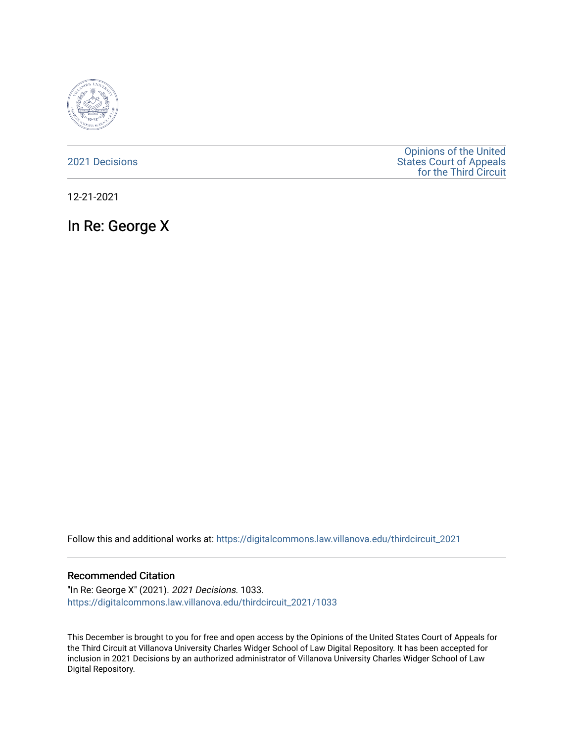

[2021 Decisions](https://digitalcommons.law.villanova.edu/thirdcircuit_2021)

[Opinions of the United](https://digitalcommons.law.villanova.edu/thirdcircuit)  [States Court of Appeals](https://digitalcommons.law.villanova.edu/thirdcircuit)  [for the Third Circuit](https://digitalcommons.law.villanova.edu/thirdcircuit) 

12-21-2021

In Re: George X

Follow this and additional works at: [https://digitalcommons.law.villanova.edu/thirdcircuit\\_2021](https://digitalcommons.law.villanova.edu/thirdcircuit_2021?utm_source=digitalcommons.law.villanova.edu%2Fthirdcircuit_2021%2F1033&utm_medium=PDF&utm_campaign=PDFCoverPages) 

#### Recommended Citation

"In Re: George X" (2021). 2021 Decisions. 1033. [https://digitalcommons.law.villanova.edu/thirdcircuit\\_2021/1033](https://digitalcommons.law.villanova.edu/thirdcircuit_2021/1033?utm_source=digitalcommons.law.villanova.edu%2Fthirdcircuit_2021%2F1033&utm_medium=PDF&utm_campaign=PDFCoverPages) 

This December is brought to you for free and open access by the Opinions of the United States Court of Appeals for the Third Circuit at Villanova University Charles Widger School of Law Digital Repository. It has been accepted for inclusion in 2021 Decisions by an authorized administrator of Villanova University Charles Widger School of Law Digital Repository.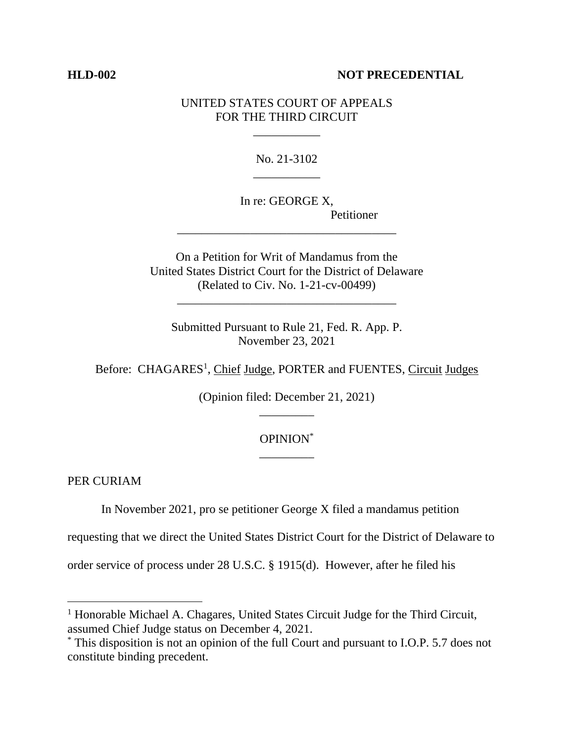### **HLD-002 NOT PRECEDENTIAL**

## UNITED STATES COURT OF APPEALS FOR THE THIRD CIRCUIT

\_\_\_\_\_\_\_\_\_\_\_

No. 21-3102 \_\_\_\_\_\_\_\_\_\_\_

In re: GEORGE X, Petitioner

On a Petition for Writ of Mandamus from the United States District Court for the District of Delaware (Related to Civ. No. 1-21-cv-00499)

\_\_\_\_\_\_\_\_\_\_\_\_\_\_\_\_\_\_\_\_\_\_\_\_\_\_\_\_\_\_\_\_\_\_\_\_

\_\_\_\_\_\_\_\_\_\_\_\_\_\_\_\_\_\_\_\_\_\_\_\_\_\_\_\_\_\_\_\_\_\_\_\_

Submitted Pursuant to Rule 21, Fed. R. App. P. November 23, 2021

Before: CHAGARES<sup>1</sup>, Chief Judge, PORTER and FUENTES, Circuit Judges

(Opinion filed: December 21, 2021) \_\_\_\_\_\_\_\_\_

# OPINION\* \_\_\_\_\_\_\_\_\_

PER CURIAM

In November 2021, pro se petitioner George X filed a mandamus petition

requesting that we direct the United States District Court for the District of Delaware to

order service of process under 28 U.S.C. § 1915(d). However, after he filed his

<sup>&</sup>lt;sup>1</sup> Honorable Michael A. Chagares, United States Circuit Judge for the Third Circuit, assumed Chief Judge status on December 4, 2021.

<sup>\*</sup> This disposition is not an opinion of the full Court and pursuant to I.O.P. 5.7 does not constitute binding precedent.